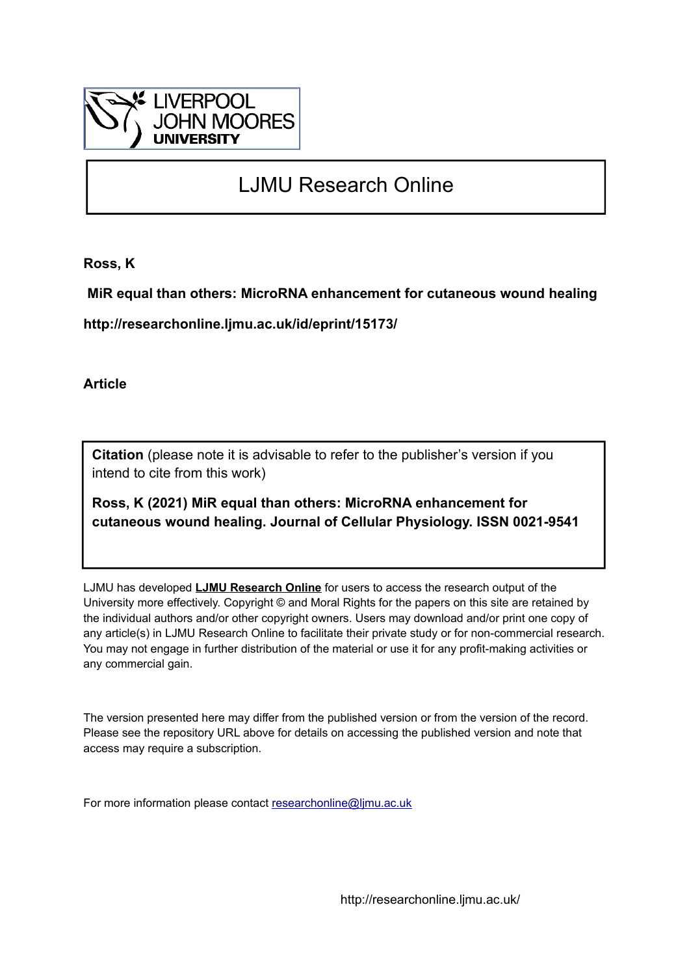

# LJMU Research Online

**Ross, K**

 **MiR equal than others: MicroRNA enhancement for cutaneous wound healing**

**http://researchonline.ljmu.ac.uk/id/eprint/15173/**

**Article**

**Citation** (please note it is advisable to refer to the publisher's version if you intend to cite from this work)

**Ross, K (2021) MiR equal than others: MicroRNA enhancement for cutaneous wound healing. Journal of Cellular Physiology. ISSN 0021-9541** 

LJMU has developed **[LJMU Research Online](http://researchonline.ljmu.ac.uk/)** for users to access the research output of the University more effectively. Copyright © and Moral Rights for the papers on this site are retained by the individual authors and/or other copyright owners. Users may download and/or print one copy of any article(s) in LJMU Research Online to facilitate their private study or for non-commercial research. You may not engage in further distribution of the material or use it for any profit-making activities or any commercial gain.

The version presented here may differ from the published version or from the version of the record. Please see the repository URL above for details on accessing the published version and note that access may require a subscription.

For more information please contact [researchonline@ljmu.ac.uk](mailto:researchonline@ljmu.ac.uk)

http://researchonline.ljmu.ac.uk/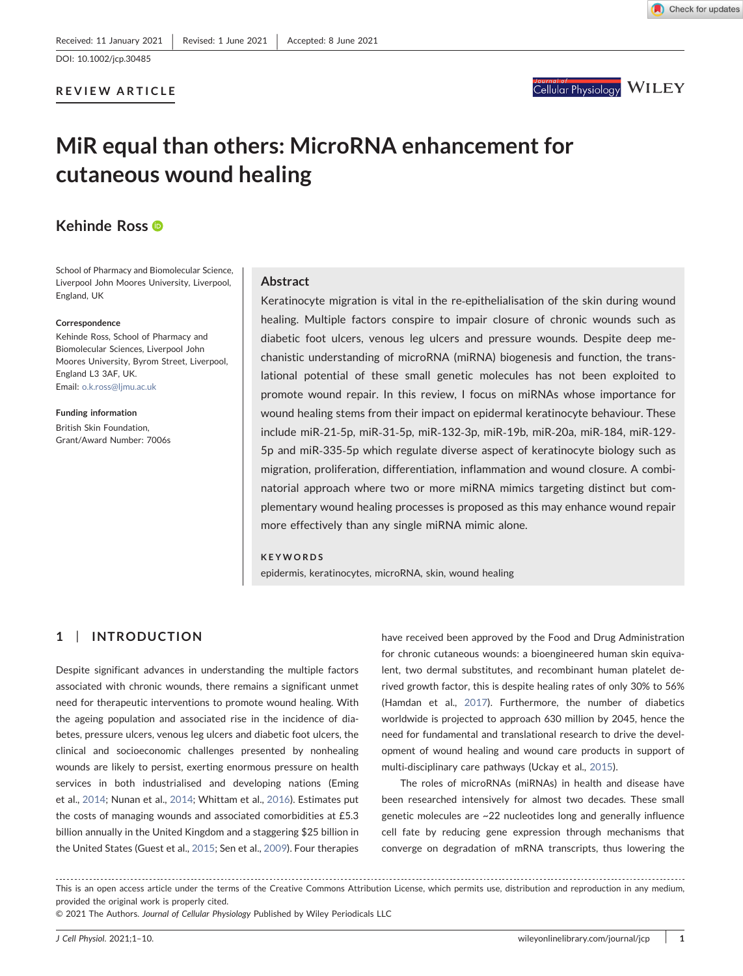REVIEW ARTICLE



# MiR equal than others: MicroRNA enhancement for cutaneous wound healing

# Kehinde Ross

School of Pharmacy and Biomolecular Science, Liverpool John Moores University, Liverpool, England, UK

#### Correspondence

Kehinde Ross, School of Pharmacy and Biomolecular Sciences, Liverpool John Moores University, Byrom Street, Liverpool, England L3 3AF, UK. Email: [o.k.ross@ljmu.ac.uk](mailto:o.k.ross@ljmu.ac.uk)

Funding information British Skin Foundation, Grant/Award Number: 7006s

## Abstract

Keratinocyte migration is vital in the re-epithelialisation of the skin during wound healing. Multiple factors conspire to impair closure of chronic wounds such as diabetic foot ulcers, venous leg ulcers and pressure wounds. Despite deep mechanistic understanding of microRNA (miRNA) biogenesis and function, the translational potential of these small genetic molecules has not been exploited to promote wound repair. In this review, I focus on miRNAs whose importance for wound healing stems from their impact on epidermal keratinocyte behaviour. These include miR‐21‐5p, miR‐31‐5p, miR‐132‐3p, miR‐19b, miR‐20a, miR‐184, miR‐129‐ 5p and miR‐335‐5p which regulate diverse aspect of keratinocyte biology such as migration, proliferation, differentiation, inflammation and wound closure. A combinatorial approach where two or more miRNA mimics targeting distinct but complementary wound healing processes is proposed as this may enhance wound repair more effectively than any single miRNA mimic alone.

## KEYWORDS

epidermis, keratinocytes, microRNA, skin, wound healing

## 1 | INTRODUCTION

Despite significant advances in understanding the multiple factors associated with chronic wounds, there remains a significant unmet need for therapeutic interventions to promote wound healing. With the ageing population and associated rise in the incidence of diabetes, pressure ulcers, venous leg ulcers and diabetic foot ulcers, the clinical and socioeconomic challenges presented by nonhealing wounds are likely to persist, exerting enormous pressure on health services in both industrialised and developing nations (Eming et al., [2014;](#page-7-0) Nunan et al., [2014;](#page-9-0) Whittam et al., [2016\)](#page-10-0). Estimates put the costs of managing wounds and associated comorbidities at £5.3 billion annually in the United Kingdom and a staggering \$25 billion in the United States (Guest et al., [2015](#page-8-0); Sen et al., [2009](#page-9-1)). Four therapies

have received been approved by the Food and Drug Administration for chronic cutaneous wounds: a bioengineered human skin equivalent, two dermal substitutes, and recombinant human platelet derived growth factor, this is despite healing rates of only 30% to 56% (Hamdan et al., [2017\)](#page-8-1). Furthermore, the number of diabetics worldwide is projected to approach 630 million by 2045, hence the need for fundamental and translational research to drive the development of wound healing and wound care products in support of multi-disciplinary care pathways (Uckay et al., [2015](#page-9-2)).

The roles of microRNAs (miRNAs) in health and disease have been researched intensively for almost two decades. These small genetic molecules are ~22 nucleotides long and generally influence cell fate by reducing gene expression through mechanisms that converge on degradation of mRNA transcripts, thus lowering the

This is an open access article under the terms of the Creative Commons Attribution License, which permits use, distribution and reproduction in any medium, provided the original work is properly cited.

© 2021 The Authors. Journal of Cellular Physiology Published by Wiley Periodicals LLC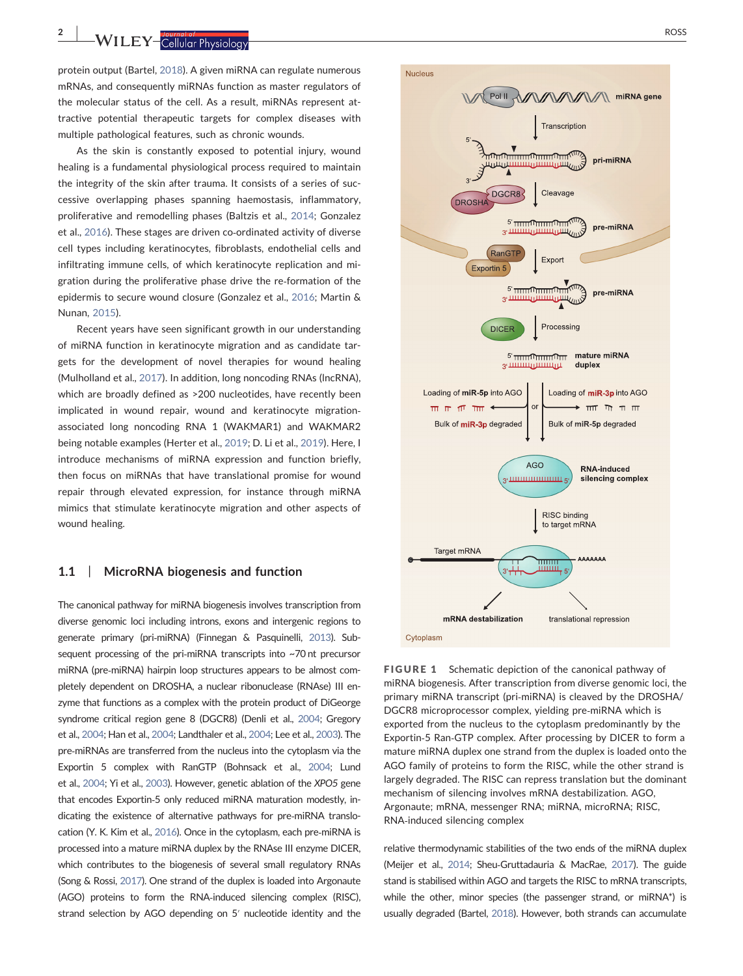<span id="page-2-0"></span>

protein output (Bartel, [2018](#page-7-1)). A given miRNA can regulate numerous mRNAs, and consequently miRNAs function as master regulators of the molecular status of the cell. As a result, miRNAs represent attractive potential therapeutic targets for complex diseases with multiple pathological features, such as chronic wounds.

As the skin is constantly exposed to potential injury, wound healing is a fundamental physiological process required to maintain the integrity of the skin after trauma. It consists of a series of successive overlapping phases spanning haemostasis, inflammatory, proliferative and remodelling phases (Baltzis et al., [2014;](#page-7-2) Gonzalez et al., [2016](#page-8-2)). These stages are driven co-ordinated activity of diverse cell types including keratinocytes, fibroblasts, endothelial cells and infiltrating immune cells, of which keratinocyte replication and migration during the proliferative phase drive the re‐formation of the epidermis to secure wound closure (Gonzalez et al., [2016](#page-8-2); Martin & Nunan, [2015\)](#page-9-3).

Recent years have seen significant growth in our understanding of miRNA function in keratinocyte migration and as candidate targets for the development of novel therapies for wound healing (Mulholland et al., [2017](#page-9-4)). In addition, long noncoding RNAs (lncRNA), which are broadly defined as >200 nucleotides, have recently been implicated in wound repair, wound and keratinocyte migrationassociated long noncoding RNA 1 (WAKMAR1) and WAKMAR2 being notable examples (Herter et al., [2019;](#page-8-3) D. Li et al., [2019](#page-8-4)). Here, I introduce mechanisms of miRNA expression and function briefly, then focus on miRNAs that have translational promise for wound repair through elevated expression, for instance through miRNA mimics that stimulate keratinocyte migration and other aspects of wound healing.

### 1.1 | MicroRNA biogenesis and function

The canonical pathway for miRNA biogenesis involves transcription from diverse genomic loci including introns, exons and intergenic regions to generate primary (pri‐miRNA) (Finnegan & Pasquinelli, [2013](#page-7-3)). Subsequent processing of the pri-miRNA transcripts into ~70 nt precursor miRNA (pre-miRNA) hairpin loop structures appears to be almost completely dependent on DROSHA, a nuclear ribonuclease (RNAse) III enzyme that functions as a complex with the protein product of DiGeorge syndrome critical region gene 8 (DGCR8) (Denli et al., [2004](#page-7-4); Gregory et al., [2004](#page-8-5); Han et al., [2004](#page-8-6); Landthaler et al., [2004;](#page-8-7) Lee et al., [2003\)](#page-8-8). The pre‐miRNAs are transferred from the nucleus into the cytoplasm via the Exportin 5 complex with RanGTP (Bohnsack et al., [2004;](#page-7-5) Lund et al., [2004;](#page-9-5) Yi et al., [2003](#page-10-1)). However, genetic ablation of the XPO5 gene that encodes Exportin‐5 only reduced miRNA maturation modestly, indicating the existence of alternative pathways for pre‐miRNA translo-cation (Y. K. Kim et al., [2016\)](#page-8-9). Once in the cytoplasm, each pre-miRNA is processed into a mature miRNA duplex by the RNAse III enzyme DICER, which contributes to the biogenesis of several small regulatory RNAs (Song & Rossi, [2017\)](#page-9-6). One strand of the duplex is loaded into Argonaute (AGO) proteins to form the RNA‐induced silencing complex (RISC), strand selection by AGO depending on 5′ nucleotide identity and the



FIGURE 1 Schematic depiction of the canonical pathway of miRNA biogenesis. After transcription from diverse genomic loci, the primary miRNA transcript (pri-miRNA) is cleaved by the DROSHA/ DGCR8 microprocessor complex, yielding pre‐miRNA which is exported from the nucleus to the cytoplasm predominantly by the Exportin‐5 Ran‐GTP complex. After processing by DICER to form a mature miRNA duplex one strand from the duplex is loaded onto the AGO family of proteins to form the RISC, while the other strand is largely degraded. The RISC can repress translation but the dominant mechanism of silencing involves mRNA destabilization. AGO, Argonaute; mRNA, messenger RNA; miRNA, microRNA; RISC, RNA‐induced silencing complex

relative thermodynamic stabilities of the two ends of the miRNA duplex (Meijer et al., [2014](#page-9-7); Sheu‐Gruttadauria & MacRae, [2017\)](#page-9-8). The guide stand is stabilised within AGO and targets the RISC to mRNA transcripts, while the other, minor species (the passenger strand, or miRNA\*) is usually degraded (Bartel, [2018\)](#page-7-1). However, both strands can accumulate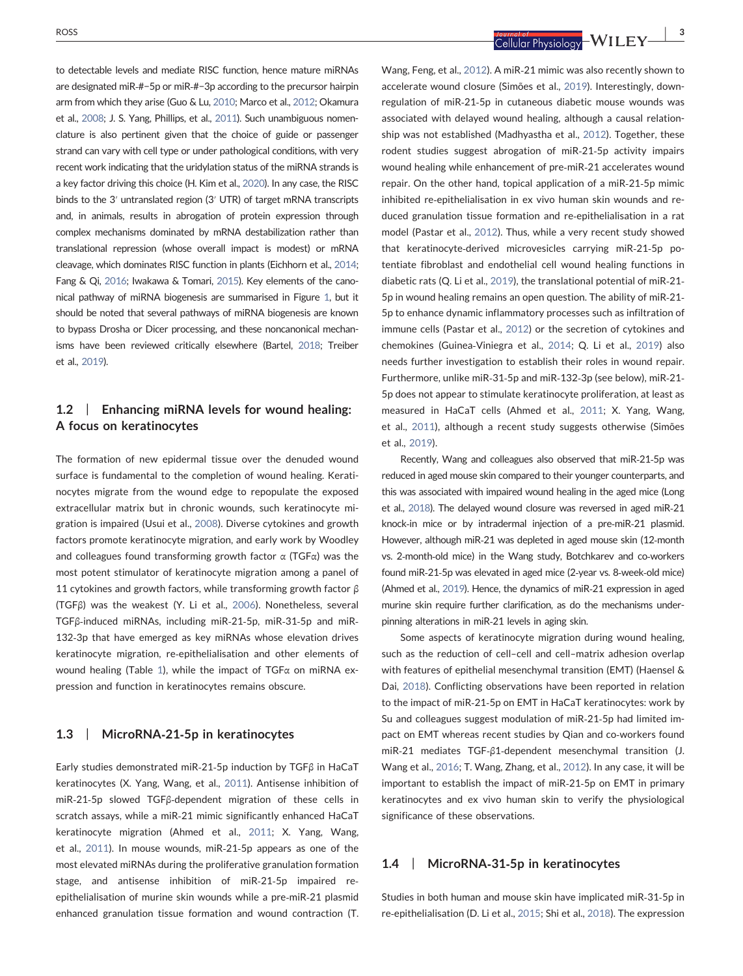to detectable levels and mediate RISC function, hence mature miRNAs are designated miR‐#−5p or miR‐#−3p according to the precursor hairpin arm from which they arise (Guo & Lu, [2010](#page-8-10); Marco et al., [2012](#page-9-9); Okamura et al., [2008](#page-9-10); J. S. Yang, Phillips, et al., [2011\)](#page-10-2). Such unambiguous nomenclature is also pertinent given that the choice of guide or passenger strand can vary with cell type or under pathological conditions, with very recent work indicating that the uridylation status of the miRNA strands is a key factor driving this choice (H. Kim et al., [2020\)](#page-8-11). In any case, the RISC binds to the 3′ untranslated region (3′ UTR) of target mRNA transcripts and, in animals, results in abrogation of protein expression through complex mechanisms dominated by mRNA destabilization rather than translational repression (whose overall impact is modest) or mRNA cleavage, which dominates RISC function in plants (Eichhorn et al., [2014;](#page-7-6) Fang & Qi, [2016](#page-7-7); Iwakawa & Tomari, [2015](#page-8-12)). Key elements of the canonical pathway of miRNA biogenesis are summarised in Figure [1,](#page-2-0) but it should be noted that several pathways of miRNA biogenesis are known to bypass Drosha or Dicer processing, and these noncanonical mechanisms have been reviewed critically elsewhere (Bartel, [2018;](#page-7-1) Treiber et al., [2019\)](#page-9-11).

# 1.2 | Enhancing miRNA levels for wound healing: A focus on keratinocytes

The formation of new epidermal tissue over the denuded wound surface is fundamental to the completion of wound healing. Keratinocytes migrate from the wound edge to repopulate the exposed extracellular matrix but in chronic wounds, such keratinocyte migration is impaired (Usui et al., [2008\)](#page-9-12). Diverse cytokines and growth factors promote keratinocyte migration, and early work by Woodley and colleagues found transforming growth factor  $\alpha$  (TGF $\alpha$ ) was the most potent stimulator of keratinocyte migration among a panel of 11 cytokines and growth factors, while transforming growth factor  $β$ (TGFβ) was the weakest (Y. Li et al., [2006\)](#page-8-13). Nonetheless, several TGFβ‐induced miRNAs, including miR‐21‐5p, miR‐31‐5p and miR‐ 132-3p that have emerged as key miRNAs whose elevation drives keratinocyte migration, re-epithelialisation and other elements of wound healing (Table [1\)](#page-4-0), while the impact of TGF $\alpha$  on miRNA expression and function in keratinocytes remains obscure.

## 1.3 | MicroRNA-21-5p in keratinocytes

Early studies demonstrated miR‐21‐5p induction by TGFβ in HaCaT keratinocytes (X. Yang, Wang, et al., [2011](#page-10-3)). Antisense inhibition of miR‐21‐5p slowed TGFβ‐dependent migration of these cells in scratch assays, while a miR‐21 mimic significantly enhanced HaCaT keratinocyte migration (Ahmed et al., [2011;](#page-7-8) X. Yang, Wang, et al., [2011](#page-10-3)). In mouse wounds, miR‐21‐5p appears as one of the most elevated miRNAs during the proliferative granulation formation stage, and antisense inhibition of miR‐21‐5p impaired re‐ epithelialisation of murine skin wounds while a pre‐miR‐21 plasmid enhanced granulation tissue formation and wound contraction (T.

ROSS | 3

Wang, Feng, et al., [2012](#page-9-13)). A miR‐21 mimic was also recently shown to accelerate wound closure (Simões et al., [2019\)](#page-9-14). Interestingly, downregulation of miR‐21‐5p in cutaneous diabetic mouse wounds was associated with delayed wound healing, although a causal relationship was not established (Madhyastha et al., [2012\)](#page-9-15). Together, these rodent studies suggest abrogation of miR‐21‐5p activity impairs wound healing while enhancement of pre‐miR‐21 accelerates wound repair. On the other hand, topical application of a miR‐21‐5p mimic inhibited re‐epithelialisation in ex vivo human skin wounds and reduced granulation tissue formation and re‐epithelialisation in a rat model (Pastar et al., [2012\)](#page-9-16). Thus, while a very recent study showed that keratinocyte‐derived microvesicles carrying miR‐21‐5p potentiate fibroblast and endothelial cell wound healing functions in diabetic rats (Q. Li et al., [2019\)](#page-8-14), the translational potential of miR‐21‐ 5p in wound healing remains an open question. The ability of miR‐21‐ 5p to enhance dynamic inflammatory processes such as infiltration of immune cells (Pastar et al., [2012\)](#page-9-16) or the secretion of cytokines and chemokines (Guinea‐Viniegra et al., [2014;](#page-8-15) Q. Li et al., [2019\)](#page-8-14) also needs further investigation to establish their roles in wound repair. Furthermore, unlike miR‐31‐5p and miR‐132‐3p (see below), miR‐21‐ 5p does not appear to stimulate keratinocyte proliferation, at least as measured in HaCaT cells (Ahmed et al., [2011;](#page-7-8) X. Yang, Wang, et al., [2011\)](#page-10-3), although a recent study suggests otherwise (Simões et al., [2019\)](#page-9-14).

Recently, Wang and colleagues also observed that miR‐21‐5p was reduced in aged mouse skin compared to their younger counterparts, and this was associated with impaired wound healing in the aged mice (Long et al., [2018\)](#page-9-17). The delayed wound closure was reversed in aged miR‐21 knock-in mice or by intradermal injection of a pre-miR-21 plasmid. However, although miR‐21 was depleted in aged mouse skin (12‐month vs. 2‐month‐old mice) in the Wang study, Botchkarev and co‐workers found miR‐21‐5p was elevated in aged mice (2‐year vs. 8‐week‐old mice) (Ahmed et al., [2019](#page-7-9)). Hence, the dynamics of miR‐21 expression in aged murine skin require further clarification, as do the mechanisms underpinning alterations in miR‐21 levels in aging skin.

Some aspects of keratinocyte migration during wound healing, such as the reduction of cell–cell and cell–matrix adhesion overlap with features of epithelial mesenchymal transition (EMT) (Haensel & Dai, [2018](#page-8-16)). Conflicting observations have been reported in relation to the impact of miR‐21‐5p on EMT in HaCaT keratinocytes: work by Su and colleagues suggest modulation of miR‐21‐5p had limited impact on EMT whereas recent studies by Qian and co-workers found miR‐21 mediates TGF‐β1‐dependent mesenchymal transition (J. Wang et al., [2016](#page-9-18); T. Wang, Zhang, et al., [2012\)](#page-9-19). In any case, it will be important to establish the impact of miR‐21‐5p on EMT in primary keratinocytes and ex vivo human skin to verify the physiological significance of these observations.

## 1.4 | MicroRNA-31-5p in keratinocytes

Studies in both human and mouse skin have implicated miR‐31‐5p in re-epithelialisation (D. Li et al., [2015](#page-8-17); Shi et al., [2018](#page-9-20)). The expression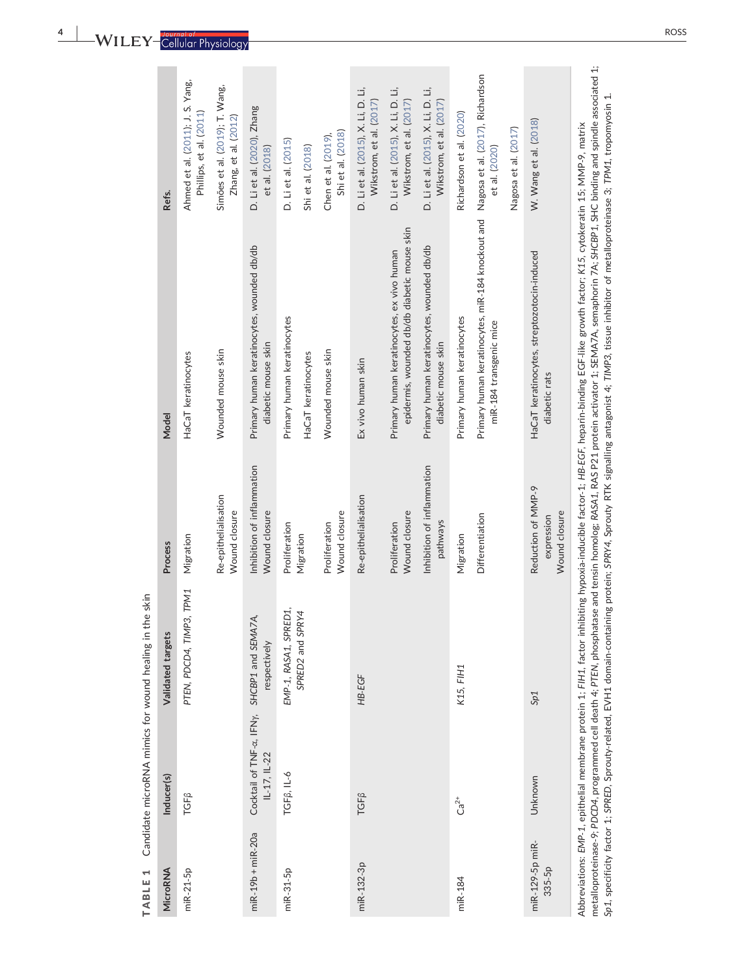<span id="page-4-0"></span>

| MicroRNA                  | Inducer(s)                                                  | Validated targets                         | Process                                           | Model                                                                                                                                                                                                    | Refs.                                                                                                         |
|---------------------------|-------------------------------------------------------------|-------------------------------------------|---------------------------------------------------|----------------------------------------------------------------------------------------------------------------------------------------------------------------------------------------------------------|---------------------------------------------------------------------------------------------------------------|
| miR-21-5p                 | TGF <sub>B</sub>                                            | PTEN, PDCD4, TIMP3, TPM1                  | Migration                                         | HaCaT keratinocytes                                                                                                                                                                                      | Ahmed et al. (2011); J. S. Yang,<br>Phillips, et al. (2011)                                                   |
|                           |                                                             |                                           | Re-epithelialisation<br>Wound closure             | Wounded mouse skin                                                                                                                                                                                       | Simões et al. (2019); T. Wang,<br>Zhang, et al. (2012)                                                        |
| miR-19b + miR-20a         | Cocktail of TNF-a, IFNy, SHCBP1 and SEMA7A,<br>IL-17, IL-22 | respectively                              | Inhibition of inflammation<br>Wound closure       | Primary human keratinocytes, wounded db/db<br>diabetic mouse skin                                                                                                                                        | D. Li et al. (2020), Zhang<br>et al. (2018)                                                                   |
| miR-31-5p                 | TGF <sub>B</sub> , IL-6                                     | EMP-1, RASA1, SPRED1,<br>SPRED2 and SPRY4 | Proliferation<br>Migration                        | Primary human keratinocytes<br>HaCaT keratinocytes                                                                                                                                                       | D. Li et al. (2015)<br>Shi et al. (2018)                                                                      |
|                           |                                                             |                                           | Wound closure<br>Proliferation                    | Wounded mouse skin                                                                                                                                                                                       | Shi et al. (2018)<br>Chen et al. (2019),                                                                      |
| miR-132-3p                | TGF <sub>B</sub>                                            | HB-EGF                                    | Re-epithelialisation                              | Ex vivo human skin                                                                                                                                                                                       | D. Li et al. (2015), X. Li, D. Li,<br>Wikstrom, et al. (2017)                                                 |
|                           |                                                             |                                           | Wound closure<br>Proliferation                    | epidermis, wounded db/db diabetic mouse skin<br>Primary human keratinocytes, ex vivo human                                                                                                               | D. Li et al. (2015), X. Li, D. Li,<br>Wikstrom, et al. (2017)                                                 |
|                           |                                                             |                                           | Inhibition of inflammation<br>pathways            | Primary human keratinocytes, wounded db/db<br>diabetic mouse skin                                                                                                                                        | D. Li et al. (2015), X. Li, D. Li,<br>Wikstrom, et al. (2017)                                                 |
| miR-184                   | $Ca^{2+}$                                                   | K15, FIH1                                 | Migration                                         | Primary human keratinocytes                                                                                                                                                                              | Richardson et al. (2020)                                                                                      |
|                           |                                                             |                                           | Differentiation                                   | Primary human keratinocytes, miR-184 knockout and Nagosa et al. (2017), Richardson<br>miR-184 transgenic mice                                                                                            | et al. (2020)                                                                                                 |
|                           |                                                             |                                           |                                                   |                                                                                                                                                                                                          | Nagosa et al. (2017)                                                                                          |
| miR-129-5p miR-<br>335-5p | Unknown                                                     | Sp1                                       | Reduction of MMP-9<br>Wound closure<br>expression | HaCaT keratinocytes, streptozotocin-induced<br>diabetic rats                                                                                                                                             | W. Wang et al. (2018)                                                                                         |
|                           |                                                             | 4.07FM                                    | $-0.604$ DAC DO1                                  | Abbreviations: EMP-1, epithelial membrane protein 1; FIH1, factor inhibiting hypoxia-inducible factor-1; HB-EGF, heparin-binding EGF-like growth factor; K15, cytokeratin 15; MMP-9, matrix<br>4.25AAB7A | Later TA - Colorado de la citatura de la colorada de la citatura de la citatura de la citatura de la citatura |

metalloproteinase-9; PDCD4, programmed cell death 4; PTEN, phosphatase and tensin homolog; RASA1, RAS P21 protein activator 1; SEMA7A, semaphorin 7A; SHCBP1, SHC binding and spindle associated 1;<br>Sp1. specificity factor 1; metalloproteinase‐9; PDCD4, programmed cell death 4; PTEN, phosphatase and tensin homolog; RASA1, RAS P21 protein activator 1; SEMA7A, semaphorin 7A; SHCBP1, SHC binding and spindle associated 1; Sp1, specificity factor 1; SPRED, Sprouty‐related, EVH1 domain‐containing protein; SPRY4, Sprouty RTK signalling antagonist 4; TIMP3, tissue inhibitor of metalloproteinase 3; TPM1, tropomyosin 1.

m.

TABLE 1 Candidate microRNA mimics for wound healing in the skin

TABLE 1 Candidate microRNA mimics for wound healing in the skin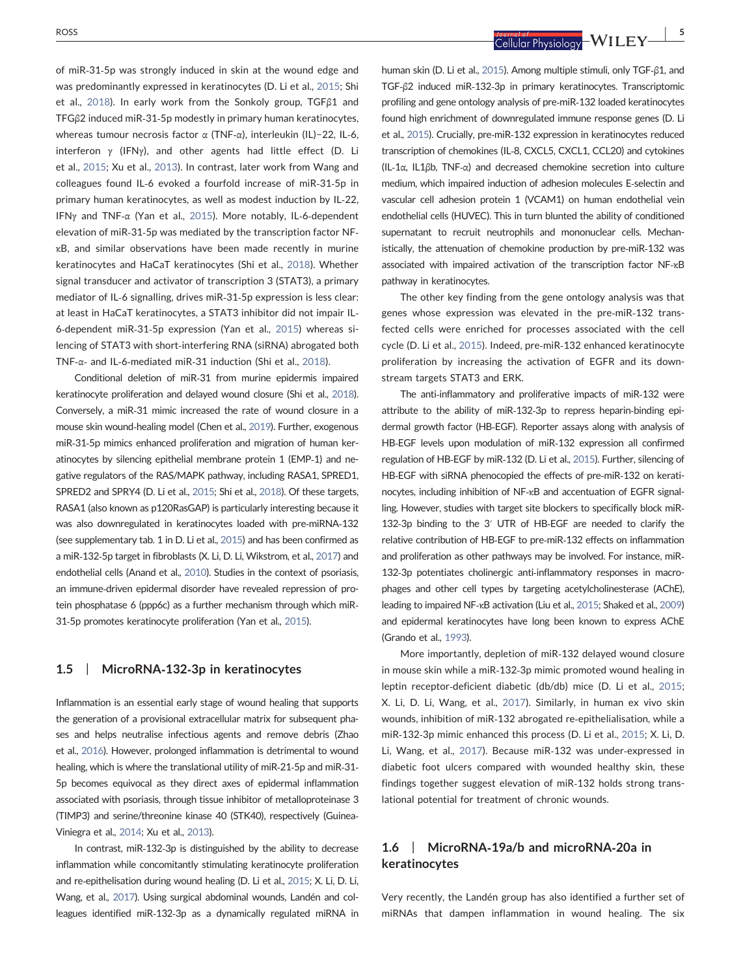of miR‐31‐5p was strongly induced in skin at the wound edge and was predominantly expressed in keratinocytes (D. Li et al., [2015;](#page-8-17) Shi et al., [2018](#page-9-20)). In early work from the Sonkoly group, TGFβ1 and TFGβ2 induced miR‐31‐5p modestly in primary human keratinocytes, whereas tumour necrosis factor α (TNF‐α), interleukin (IL)−22, IL‐6, interferon  $\gamma$  (IFN $\gamma$ ), and other agents had little effect (D. Li et al., [2015](#page-8-17); Xu et al., [2013](#page-10-6)). In contrast, later work from Wang and colleagues found IL‐6 evoked a fourfold increase of miR‐31‐5p in primary human keratinocytes, as well as modest induction by IL‐22, IFNγ and TNF‐α (Yan et al., [2015](#page-10-7)). More notably, IL‐6‐dependent elevation of miR‐31‐5p was mediated by the transcription factor NF‐ κB, and similar observations have been made recently in murine keratinocytes and HaCaT keratinocytes (Shi et al., [2018\)](#page-9-20). Whether signal transducer and activator of transcription 3 (STAT3), a primary mediator of IL‐6 signalling, drives miR‐31‐5p expression is less clear: at least in HaCaT keratinocytes, a STAT3 inhibitor did not impair IL‐ 6‐dependent miR‐31‐5p expression (Yan et al., [2015](#page-10-7)) whereas silencing of STAT3 with short‐interfering RNA (siRNA) abrogated both TNF‐α‐ and IL‐6‐mediated miR‐31 induction (Shi et al., [2018\)](#page-9-20).

Conditional deletion of miR‐31 from murine epidermis impaired keratinocyte proliferation and delayed wound closure (Shi et al., [2018\)](#page-9-20). Conversely, a miR‐31 mimic increased the rate of wound closure in a mouse skin wound‐healing model (Chen et al., [2019\)](#page-7-10). Further, exogenous miR‐31‐5p mimics enhanced proliferation and migration of human keratinocytes by silencing epithelial membrane protein 1 (EMP‐1) and negative regulators of the RAS/MAPK pathway, including RASA1, SPRED1, SPRED2 and SPRY4 (D. Li et al., [2015;](#page-8-17) Shi et al., [2018](#page-9-20)). Of these targets, RASA1 (also known as p120RasGAP) is particularly interesting because it was also downregulated in keratinocytes loaded with pre-miRNA-132 (see supplementary tab. 1 in D. Li et al., [2015](#page-8-19)) and has been confirmed as a miR‐132‐5p target in fibroblasts (X. Li, D. Li, Wikstrom, et al., [2017\)](#page-8-20) and endothelial cells (Anand et al., [2010](#page-7-11)). Studies in the context of psoriasis, an immune‐driven epidermal disorder have revealed repression of protein phosphatase 6 (ppp6c) as a further mechanism through which miR‐ 31‐5p promotes keratinocyte proliferation (Yan et al., [2015\)](#page-10-7).

## 1.5 | MicroRNA‐132‐3p in keratinocytes

Inflammation is an essential early stage of wound healing that supports the generation of a provisional extracellular matrix for subsequent phases and helps neutralise infectious agents and remove debris (Zhao et al., [2016\)](#page-10-8). However, prolonged inflammation is detrimental to wound healing, which is where the translational utility of miR‐21‐5p and miR‐31‐ 5p becomes equivocal as they direct axes of epidermal inflammation associated with psoriasis, through tissue inhibitor of metalloproteinase 3 (TIMP3) and serine/threonine kinase 40 (STK40), respectively (Guinea‐ Viniegra et al., [2014](#page-8-15); Xu et al., [2013\)](#page-10-6).

In contrast, miR‐132‐3p is distinguished by the ability to decrease inflammation while concomitantly stimulating keratinocyte proliferation and re-epithelisation during wound healing (D. Li et al., [2015](#page-8-19); X. Li, D. Li, Wang, et al., [2017\)](#page-8-21). Using surgical abdominal wounds, Landén and colleagues identified miR‐132‐3p as a dynamically regulated miRNA in

ROSS | 5

human skin (D. Li et al., [2015\)](#page-8-19). Among multiple stimuli, only TGF‐β1, and TGF‐β2 induced miR‐132‐3p in primary keratinocytes. Transcriptomic profiling and gene ontology analysis of pre‐miR‐132 loaded keratinocytes found high enrichment of downregulated immune response genes (D. Li et al., [2015\)](#page-8-19). Crucially, pre‐miR‐132 expression in keratinocytes reduced transcription of chemokines (IL‐8, CXCL5, CXCL1, CCL20) and cytokines (IL‐1α, IL1βb, TNF‐α) and decreased chemokine secretion into culture medium, which impaired induction of adhesion molecules E‐selectin and vascular cell adhesion protein 1 (VCAM1) on human endothelial vein endothelial cells (HUVEC). This in turn blunted the ability of conditioned supernatant to recruit neutrophils and mononuclear cells. Mechanistically, the attenuation of chemokine production by pre‐miR‐132 was associated with impaired activation of the transcription factor NF‐κB pathway in keratinocytes.

The other key finding from the gene ontology analysis was that genes whose expression was elevated in the pre‐miR‐132 transfected cells were enriched for processes associated with the cell cycle (D. Li et al., [2015](#page-8-19)). Indeed, pre‐miR‐132 enhanced keratinocyte proliferation by increasing the activation of EGFR and its downstream targets STAT3 and ERK.

The anti-inflammatory and proliferative impacts of miR-132 were attribute to the ability of miR‐132‐3p to repress heparin‐binding epidermal growth factor (HB‐EGF). Reporter assays along with analysis of HB-EGF levels upon modulation of miR-132 expression all confirmed regulation of HB‐EGF by miR‐132 (D. Li et al., [2015\)](#page-8-19). Further, silencing of HB-EGF with siRNA phenocopied the effects of pre-miR-132 on keratinocytes, including inhibition of NF‐κB and accentuation of EGFR signalling. However, studies with target site blockers to specifically block miR‐ 132-3p binding to the 3<sup>'</sup> UTR of HB-EGF are needed to clarify the relative contribution of HB‐EGF to pre‐miR‐132 effects on inflammation and proliferation as other pathways may be involved. For instance, miR‐ 132-3p potentiates cholinergic anti-inflammatory responses in macrophages and other cell types by targeting acetylcholinesterase (AChE), leading to impaired NF‐κB activation (Liu et al., [2015;](#page-9-23) Shaked et al., [2009](#page-9-24)) and epidermal keratinocytes have long been known to express AChE (Grando et al., [1993](#page-8-22)).

More importantly, depletion of miR‐132 delayed wound closure in mouse skin while a miR‐132‐3p mimic promoted wound healing in leptin receptor‐deficient diabetic (db/db) mice (D. Li et al., [2015;](#page-8-19) X. Li, D. Li, Wang, et al., [2017](#page-8-21)). Similarly, in human ex vivo skin wounds, inhibition of miR‐132 abrogated re‐epithelialisation, while a miR‐132‐3p mimic enhanced this process (D. Li et al., [2015;](#page-8-19) X. Li, D. Li, Wang, et al., [2017\)](#page-8-21). Because miR‐132 was under‐expressed in diabetic foot ulcers compared with wounded healthy skin, these findings together suggest elevation of miR‐132 holds strong translational potential for treatment of chronic wounds.

# 1.6 | MicroRNA‐19a/b and microRNA‐20a in keratinocytes

Very recently, the Landén group has also identified a further set of miRNAs that dampen inflammation in wound healing. The six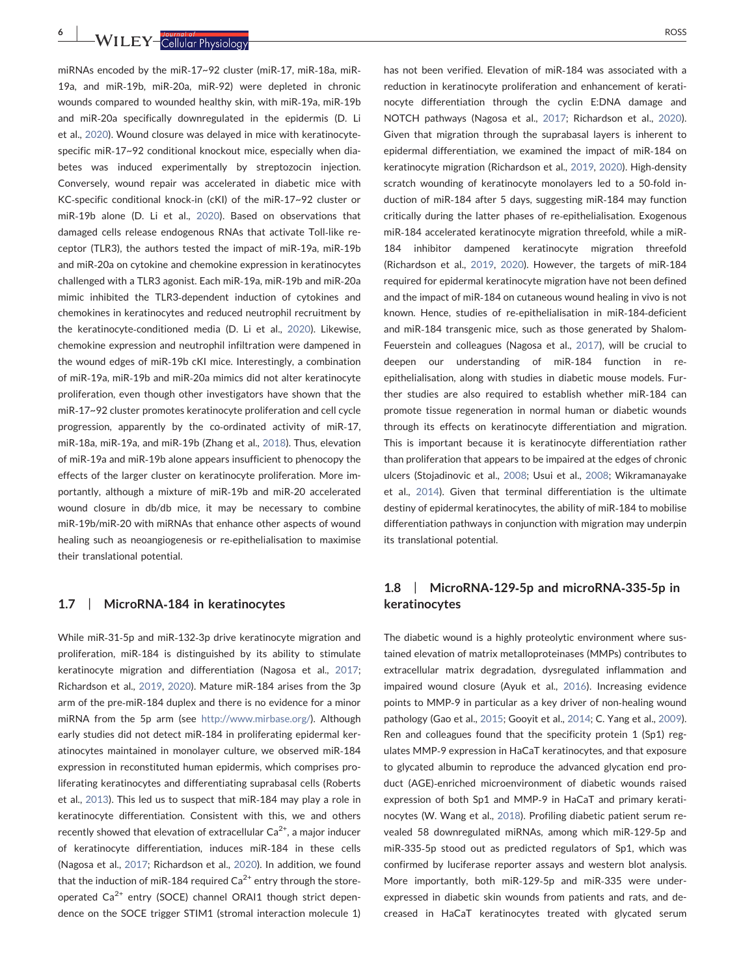6 | WII FY-Callular Physiology **| ROSS** ROSS

miRNAs encoded by the miR‐17~92 cluster (miR‐17, miR‐18a, miR‐ 19a, and miR‐19b, miR‐20a, miR‐92) were depleted in chronic wounds compared to wounded healthy skin, with miR‐19a, miR‐19b and miR‐20a specifically downregulated in the epidermis (D. Li et al., [2020\)](#page-8-18). Wound closure was delayed in mice with keratinocyte‐ specific miR-17~92 conditional knockout mice, especially when diabetes was induced experimentally by streptozocin injection. Conversely, wound repair was accelerated in diabetic mice with KC‐specific conditional knock‐in (cKI) of the miR‐17~92 cluster or miR‐19b alone (D. Li et al., [2020\)](#page-8-18). Based on observations that damaged cells release endogenous RNAs that activate Toll‐like receptor (TLR3), the authors tested the impact of miR‐19a, miR‐19b and miR‐20a on cytokine and chemokine expression in keratinocytes challenged with a TLR3 agonist. Each miR‐19a, miR‐19b and miR‐20a mimic inhibited the TLR3‐dependent induction of cytokines and chemokines in keratinocytes and reduced neutrophil recruitment by the keratinocyte‐conditioned media (D. Li et al., [2020\)](#page-8-18). Likewise, chemokine expression and neutrophil infiltration were dampened in the wound edges of miR‐19b cKI mice. Interestingly, a combination of miR‐19a, miR‐19b and miR‐20a mimics did not alter keratinocyte proliferation, even though other investigators have shown that the miR‐17~92 cluster promotes keratinocyte proliferation and cell cycle progression, apparently by the co-ordinated activity of miR-17, miR‐18a, miR‐19a, and miR‐19b (Zhang et al., [2018](#page-10-4)). Thus, elevation of miR‐19a and miR‐19b alone appears insufficient to phenocopy the effects of the larger cluster on keratinocyte proliferation. More importantly, although a mixture of miR‐19b and miR‐20 accelerated wound closure in db/db mice, it may be necessary to combine miR‐19b/miR‐20 with miRNAs that enhance other aspects of wound healing such as neoangiogenesis or re-epithelialisation to maximise their translational potential.

## 1.7 | MicroRNA-184 in keratinocytes

While miR‐31‐5p and miR‐132‐3p drive keratinocyte migration and proliferation, miR‐184 is distinguished by its ability to stimulate keratinocyte migration and differentiation (Nagosa et al., [2017](#page-9-22); Richardson et al., [2019,](#page-9-25) [2020](#page-9-21)). Mature miR‐184 arises from the 3p arm of the pre‐miR‐184 duplex and there is no evidence for a minor miRNA from the 5p arm (see [http://www.mirbase.org/\)](http://www.mirbase.org/). Although early studies did not detect miR‐184 in proliferating epidermal keratinocytes maintained in monolayer culture, we observed miR‐184 expression in reconstituted human epidermis, which comprises proliferating keratinocytes and differentiating suprabasal cells (Roberts et al., [2013](#page-9-26)). This led us to suspect that miR‐184 may play a role in keratinocyte differentiation. Consistent with this, we and others recently showed that elevation of extracellular  $Ca^{2+}$ , a major inducer of keratinocyte differentiation, induces miR‐184 in these cells (Nagosa et al., [2017](#page-9-22); Richardson et al., [2020\)](#page-9-21). In addition, we found that the induction of miR-184 required  $Ca^{2+}$  entry through the storeoperated  $Ca^{2+}$  entry (SOCE) channel ORAI1 though strict dependence on the SOCE trigger STIM1 (stromal interaction molecule 1) has not been verified. Elevation of miR‐184 was associated with a reduction in keratinocyte proliferation and enhancement of keratinocyte differentiation through the cyclin E:DNA damage and NOTCH pathways (Nagosa et al., [2017;](#page-9-22) Richardson et al., [2020](#page-9-21)). Given that migration through the suprabasal layers is inherent to epidermal differentiation, we examined the impact of miR‐184 on keratinocyte migration (Richardson et al., [2019](#page-9-25), [2020\)](#page-9-21). High-density scratch wounding of keratinocyte monolayers led to a 50‐fold induction of miR‐184 after 5 days, suggesting miR‐184 may function critically during the latter phases of re‐epithelialisation. Exogenous miR‐184 accelerated keratinocyte migration threefold, while a miR‐ 184 inhibitor dampened keratinocyte migration threefold (Richardson et al., [2019,](#page-9-25) [2020\)](#page-9-21). However, the targets of miR‐184 required for epidermal keratinocyte migration have not been defined and the impact of miR‐184 on cutaneous wound healing in vivo is not known. Hence, studies of re‐epithelialisation in miR‐184‐deficient and miR‐184 transgenic mice, such as those generated by Shalom‐ Feuerstein and colleagues (Nagosa et al., [2017](#page-9-22)), will be crucial to deepen our understanding of miR‐184 function in re‐ epithelialisation, along with studies in diabetic mouse models. Further studies are also required to establish whether miR‐184 can promote tissue regeneration in normal human or diabetic wounds through its effects on keratinocyte differentiation and migration. This is important because it is keratinocyte differentiation rather than proliferation that appears to be impaired at the edges of chronic ulcers (Stojadinovic et al., [2008](#page-9-27); Usui et al., [2008;](#page-9-12) Wikramanayake et al., [2014](#page-10-9)). Given that terminal differentiation is the ultimate destiny of epidermal keratinocytes, the ability of miR‐184 to mobilise differentiation pathways in conjunction with migration may underpin its translational potential.

## 1.8 | MicroRNA‐129‐5p and microRNA‐335‐5p in keratinocytes

The diabetic wound is a highly proteolytic environment where sustained elevation of matrix metalloproteinases (MMPs) contributes to extracellular matrix degradation, dysregulated inflammation and impaired wound closure (Ayuk et al., [2016](#page-7-12)). Increasing evidence points to MMP‐9 in particular as a key driver of non‐healing wound pathology (Gao et al., [2015](#page-8-23); Gooyit et al., [2014](#page-8-24); C. Yang et al., [2009](#page-10-10)). Ren and colleagues found that the specificity protein 1 (Sp1) regulates MMP‐9 expression in HaCaT keratinocytes, and that exposure to glycated albumin to reproduce the advanced glycation end product (AGE)‐enriched microenvironment of diabetic wounds raised expression of both Sp1 and MMP‐9 in HaCaT and primary keratinocytes (W. Wang et al., [2018](#page-10-5)). Profiling diabetic patient serum revealed 58 downregulated miRNAs, among which miR‐129‐5p and miR‐335‐5p stood out as predicted regulators of Sp1, which was confirmed by luciferase reporter assays and western blot analysis. More importantly, both miR‐129‐5p and miR‐335 were underexpressed in diabetic skin wounds from patients and rats, and decreased in HaCaT keratinocytes treated with glycated serum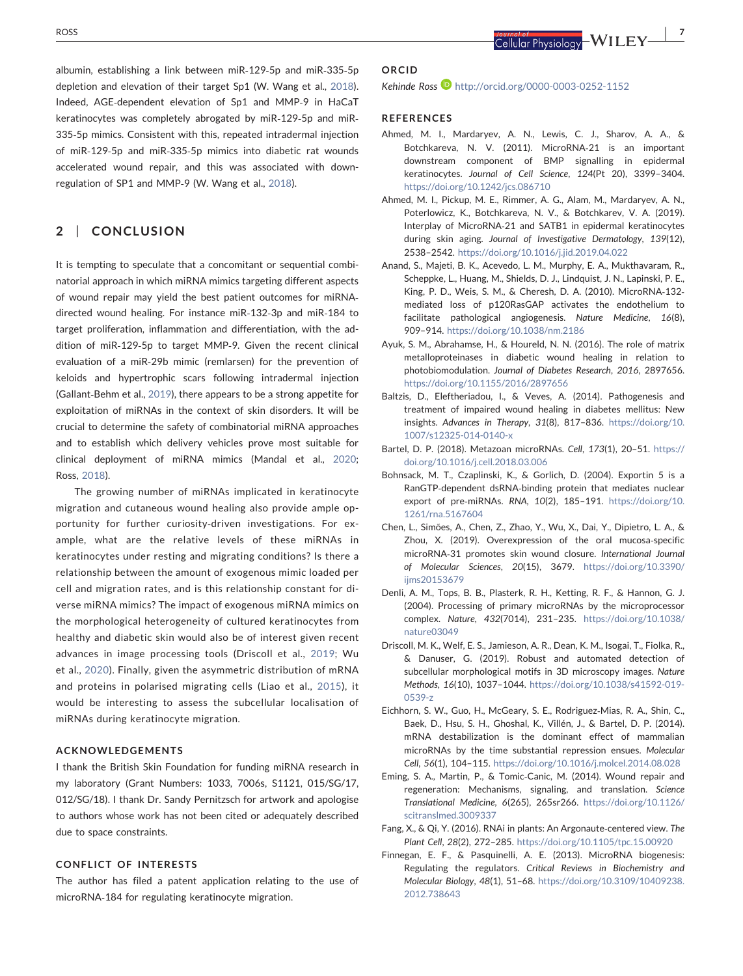albumin, establishing a link between miR‐129‐5p and miR‐335‐5p depletion and elevation of their target Sp1 (W. Wang et al., [2018](#page-10-5)). Indeed, AGE‐dependent elevation of Sp1 and MMP‐9 in HaCaT keratinocytes was completely abrogated by miR‐129‐5p and miR‐ 335‐5p mimics. Consistent with this, repeated intradermal injection of miR‐129‐5p and miR‐335‐5p mimics into diabetic rat wounds accelerated wound repair, and this was associated with downregulation of SP1 and MMP‐9 (W. Wang et al., [2018\)](#page-10-5).

# 2 | CONCLUSION

It is tempting to speculate that a concomitant or sequential combinatorial approach in which miRNA mimics targeting different aspects of wound repair may yield the best patient outcomes for miRNA‐ directed wound healing. For instance miR‐132‐3p and miR‐184 to target proliferation, inflammation and differentiation, with the addition of miR‐129‐5p to target MMP‐9. Given the recent clinical evaluation of a miR‐29b mimic (remlarsen) for the prevention of keloids and hypertrophic scars following intradermal injection (Gallant‐Behm et al., [2019](#page-8-25)), there appears to be a strong appetite for exploitation of miRNAs in the context of skin disorders. It will be crucial to determine the safety of combinatorial miRNA approaches and to establish which delivery vehicles prove most suitable for clinical deployment of miRNA mimics (Mandal et al., [2020;](#page-9-28) Ross, [2018](#page-9-29)).

The growing number of miRNAs implicated in keratinocyte migration and cutaneous wound healing also provide ample opportunity for further curiosity-driven investigations. For example, what are the relative levels of these miRNAs in keratinocytes under resting and migrating conditions? Is there a relationship between the amount of exogenous mimic loaded per cell and migration rates, and is this relationship constant for diverse miRNA mimics? The impact of exogenous miRNA mimics on the morphological heterogeneity of cultured keratinocytes from healthy and diabetic skin would also be of interest given recent advances in image processing tools (Driscoll et al., [2019](#page-7-13); Wu et al., [2020](#page-10-11)). Finally, given the asymmetric distribution of mRNA and proteins in polarised migrating cells (Liao et al., [2015\)](#page-8-26), it would be interesting to assess the subcellular localisation of miRNAs during keratinocyte migration.

### ACKNOWLEDGEMENTS

I thank the British Skin Foundation for funding miRNA research in my laboratory (Grant Numbers: 1033, 7006s, S1121, 015/SG/17, 012/SG/18). I thank Dr. Sandy Pernitzsch for artwork and apologise to authors whose work has not been cited or adequately described due to space constraints.

#### CONFLICT OF INTERESTS

The author has filed a patent application relating to the use of microRNA‐184 for regulating keratinocyte migration.

#### ORCID

Kehinde Ross D <http://orcid.org/0000-0003-0252-1152>

### **REFERENCES**

- <span id="page-7-8"></span>Ahmed, M. I., Mardaryev, A. N., Lewis, C. J., Sharov, A. A., & Botchkareva, N. V. (2011). MicroRNA‐21 is an important downstream component of BMP signalling in epidermal keratinocytes. Journal of Cell Science, 124(Pt 20), 3399–3404. <https://doi.org/10.1242/jcs.086710>
- <span id="page-7-9"></span>Ahmed, M. I., Pickup, M. E., Rimmer, A. G., Alam, M., Mardaryev, A. N., Poterlowicz, K., Botchkareva, N. V., & Botchkarev, V. A. (2019). Interplay of MicroRNA‐21 and SATB1 in epidermal keratinocytes during skin aging. Journal of Investigative Dermatology, 139(12), 2538–2542. <https://doi.org/10.1016/j.jid.2019.04.022>
- <span id="page-7-11"></span>Anand, S., Majeti, B. K., Acevedo, L. M., Murphy, E. A., Mukthavaram, R., Scheppke, L., Huang, M., Shields, D. J., Lindquist, J. N., Lapinski, P. E., King, P. D., Weis, S. M., & Cheresh, D. A. (2010). MicroRNA‐132‐ mediated loss of p120RasGAP activates the endothelium to facilitate pathological angiogenesis. Nature Medicine, 16(8), 909–914. <https://doi.org/10.1038/nm.2186>
- <span id="page-7-12"></span>Ayuk, S. M., Abrahamse, H., & Houreld, N. N. (2016). The role of matrix metalloproteinases in diabetic wound healing in relation to photobiomodulation. Journal of Diabetes Research, 2016, 2897656. <https://doi.org/10.1155/2016/2897656>
- <span id="page-7-2"></span>Baltzis, D., Eleftheriadou, I., & Veves, A. (2014). Pathogenesis and treatment of impaired wound healing in diabetes mellitus: New insights. Advances in Therapy, 31(8), 817–836. [https://doi.org/10.](https://doi.org/10.1007/s12325-014-0140-x) [1007/s12325-014-0140-x](https://doi.org/10.1007/s12325-014-0140-x)
- <span id="page-7-1"></span>Bartel, D. P. (2018). Metazoan microRNAs. Cell, 173(1), 20–51. [https://](https://doi.org/10.1016/j.cell.2018.03.006) [doi.org/10.1016/j.cell.2018.03.006](https://doi.org/10.1016/j.cell.2018.03.006)
- <span id="page-7-5"></span>Bohnsack, M. T., Czaplinski, K., & Gorlich, D. (2004). Exportin 5 is a RanGTP‐dependent dsRNA‐binding protein that mediates nuclear export of pre-miRNAs. RNA, 10(2), 185-191. [https://doi.org/10.](https://doi.org/10.1261/rna.5167604) [1261/rna.5167604](https://doi.org/10.1261/rna.5167604)
- <span id="page-7-10"></span>Chen, L., Simões, A., Chen, Z., Zhao, Y., Wu, X., Dai, Y., Dipietro, L. A., & Zhou, X. (2019). Overexpression of the oral mucosa‐specific microRNA‐31 promotes skin wound closure. International Journal of Molecular Sciences, 20(15), 3679. [https://doi.org/10.3390/](https://doi.org/10.3390/ijms20153679) [ijms20153679](https://doi.org/10.3390/ijms20153679)
- <span id="page-7-4"></span>Denli, A. M., Tops, B. B., Plasterk, R. H., Ketting, R. F., & Hannon, G. J. (2004). Processing of primary microRNAs by the microprocessor complex. Nature, 432(7014), 231–235. [https://doi.org/10.1038/](https://doi.org/10.1038/nature03049) [nature03049](https://doi.org/10.1038/nature03049)
- <span id="page-7-13"></span>Driscoll, M. K., Welf, E. S., Jamieson, A. R., Dean, K. M., Isogai, T., Fiolka, R., & Danuser, G. (2019). Robust and automated detection of subcellular morphological motifs in 3D microscopy images. Nature Methods, 16(10), 1037–1044. [https://doi.org/10.1038/s41592-019-](https://doi.org/10.1038/s41592-019-0539-z) [0539-z](https://doi.org/10.1038/s41592-019-0539-z)
- <span id="page-7-6"></span>Eichhorn, S. W., Guo, H., McGeary, S. E., Rodriguez‐Mias, R. A., Shin, C., Baek, D., Hsu, S. H., Ghoshal, K., Villén, J., & Bartel, D. P. (2014). mRNA destabilization is the dominant effect of mammalian microRNAs by the time substantial repression ensues. Molecular Cell, 56(1), 104–115. <https://doi.org/10.1016/j.molcel.2014.08.028>
- <span id="page-7-0"></span>Eming, S. A., Martin, P., & Tomic‐Canic, M. (2014). Wound repair and regeneration: Mechanisms, signaling, and translation. Science Translational Medicine, 6(265), 265sr266. [https://doi.org/10.1126/](https://doi.org/10.1126/scitranslmed.3009337) [scitranslmed.3009337](https://doi.org/10.1126/scitranslmed.3009337)
- <span id="page-7-7"></span>Fang, X., & Qi, Y. (2016). RNAi in plants: An Argonaute‐centered view. The Plant Cell, 28(2), 272–285. <https://doi.org/10.1105/tpc.15.00920>
- <span id="page-7-3"></span>Finnegan, E. F., & Pasquinelli, A. E. (2013). MicroRNA biogenesis: Regulating the regulators. Critical Reviews in Biochemistry and Molecular Biology, 48(1), 51–68. [https://doi.org/10.3109/10409238.](https://doi.org/10.3109/10409238.2012.738643) [2012.738643](https://doi.org/10.3109/10409238.2012.738643)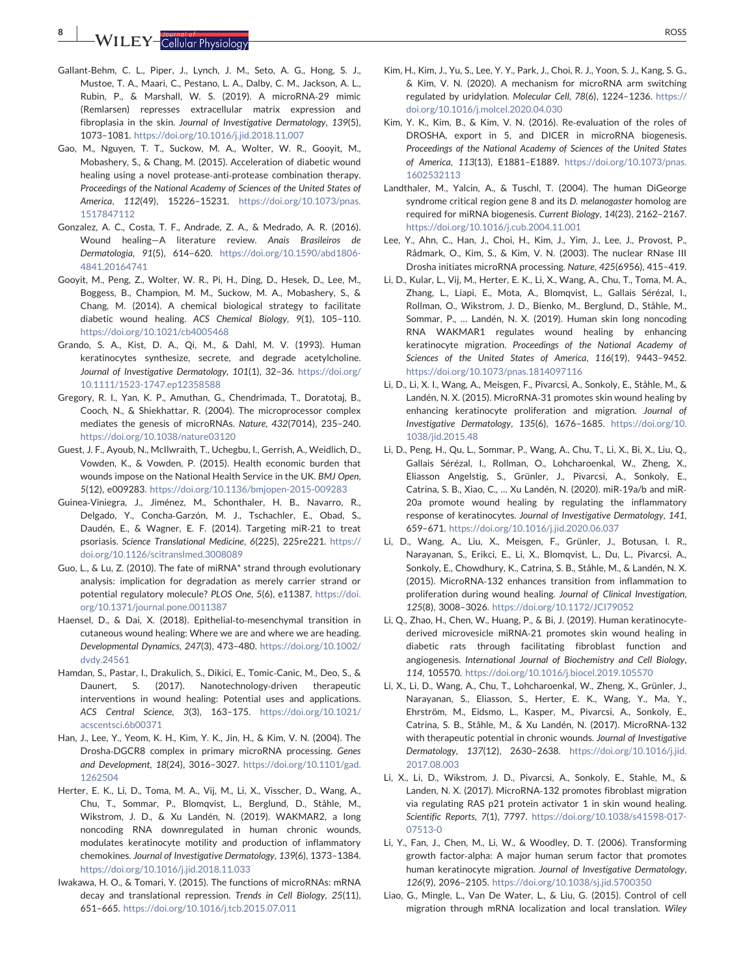WILEY-Callular Physiology

- <span id="page-8-25"></span>Gallant‐Behm, C. L., Piper, J., Lynch, J. M., Seto, A. G., Hong, S. J., Mustoe, T. A., Maari, C., Pestano, L. A., Dalby, C. M., Jackson, A. L., Rubin, P., & Marshall, W. S. (2019). A microRNA‐29 mimic (Remlarsen) represses extracellular matrix expression and fibroplasia in the skin. Journal of Investigative Dermatology, 139(5), 1073–1081. <https://doi.org/10.1016/j.jid.2018.11.007>
- <span id="page-8-23"></span>Gao, M., Nguyen, T. T., Suckow, M. A., Wolter, W. R., Gooyit, M., Mobashery, S., & Chang, M. (2015). Acceleration of diabetic wound healing using a novel protease‐anti‐protease combination therapy. Proceedings of the National Academy of Sciences of the United States of America, 112(49), 15226–15231. [https://doi.org/10.1073/pnas.](https://doi.org/10.1073/pnas.1517847112) [1517847112](https://doi.org/10.1073/pnas.1517847112)
- <span id="page-8-2"></span>Gonzalez, A. C., Costa, T. F., Andrade, Z. A., & Medrado, A. R. (2016). Wound healing—A literature review. Anais Brasileiros de Dermatologia, 91(5), 614–620. [https://doi.org/10.1590/abd1806-](https://doi.org/10.1590/abd1806-4841.20164741) [4841.20164741](https://doi.org/10.1590/abd1806-4841.20164741)
- <span id="page-8-24"></span>Gooyit, M., Peng, Z., Wolter, W. R., Pi, H., Ding, D., Hesek, D., Lee, M., Boggess, B., Champion, M. M., Suckow, M. A., Mobashery, S., & Chang, M. (2014). A chemical biological strategy to facilitate diabetic wound healing. ACS Chemical Biology, 9(1), 105–110. <https://doi.org/10.1021/cb4005468>
- <span id="page-8-22"></span>Grando, S. A., Kist, D. A., Qi, M., & Dahl, M. V. (1993). Human keratinocytes synthesize, secrete, and degrade acetylcholine. Journal of Investigative Dermatology, 101(1), 32–36. [https://doi.org/](https://doi.org/10.1111/1523-1747.ep12358588) [10.1111/1523-1747.ep12358588](https://doi.org/10.1111/1523-1747.ep12358588)
- <span id="page-8-5"></span>Gregory, R. I., Yan, K. P., Amuthan, G., Chendrimada, T., Doratotaj, B., Cooch, N., & Shiekhattar, R. (2004). The microprocessor complex mediates the genesis of microRNAs. Nature, 432(7014), 235–240. <https://doi.org/10.1038/nature03120>
- <span id="page-8-0"></span>Guest, J. F., Ayoub, N., McIlwraith, T., Uchegbu, I., Gerrish, A., Weidlich, D., Vowden, K., & Vowden, P. (2015). Health economic burden that wounds impose on the National Health Service in the UK. BMJ Open, 5(12), e009283. <https://doi.org/10.1136/bmjopen-2015-009283>
- <span id="page-8-15"></span>Guinea‐Viniegra, J., Jiménez, M., Schonthaler, H. B., Navarro, R., Delgado, Y., Concha‐Garzón, M. J., Tschachler, E., Obad, S., Daudén, E., & Wagner, E. F. (2014). Targeting miR‐21 to treat psoriasis. Science Translational Medicine, 6(225), 225re221. [https://](https://doi.org/10.1126/scitranslmed.3008089) [doi.org/10.1126/scitranslmed.3008089](https://doi.org/10.1126/scitranslmed.3008089)
- <span id="page-8-10"></span>Guo, L., & Lu, Z. (2010). The fate of miRNA\* strand through evolutionary analysis: implication for degradation as merely carrier strand or potential regulatory molecule? PLOS One, 5(6), e11387. [https://doi.](https://doi.org/10.1371/journal.pone.0011387) [org/10.1371/journal.pone.0011387](https://doi.org/10.1371/journal.pone.0011387)
- <span id="page-8-16"></span>Haensel, D., & Dai, X. (2018). Epithelial-to-mesenchymal transition in cutaneous wound healing: Where we are and where we are heading. Developmental Dynamics, 247(3), 473–480. [https://doi.org/10.1002/](https://doi.org/10.1002/dvdy.24561) [dvdy.24561](https://doi.org/10.1002/dvdy.24561)
- <span id="page-8-1"></span>Hamdan, S., Pastar, I., Drakulich, S., Dikici, E., Tomic‐Canic, M., Deo, S., & Daunert, S. (2017). Nanotechnology-driven therapeutic interventions in wound healing: Potential uses and applications. ACS Central Science, 3(3), 163–175. [https://doi.org/10.1021/](https://doi.org/10.1021/acscentsci.6b00371) [acscentsci.6b00371](https://doi.org/10.1021/acscentsci.6b00371)
- <span id="page-8-6"></span>Han, J., Lee, Y., Yeom, K. H., Kim, Y. K., Jin, H., & Kim, V. N. (2004). The Drosha‐DGCR8 complex in primary microRNA processing. Genes and Development, 18(24), 3016–3027. [https://doi.org/10.1101/gad.](https://doi.org/10.1101/gad.1262504) [1262504](https://doi.org/10.1101/gad.1262504)
- <span id="page-8-3"></span>Herter, E. K., Li, D., Toma, M. A., Vij, M., Li, X., Visscher, D., Wang, A., Chu, T., Sommar, P., Blomqvist, L., Berglund, D., Ståhle, M., Wikstrom, J. D., & Xu Landén, N. (2019). WAKMAR2, a long noncoding RNA downregulated in human chronic wounds, modulates keratinocyte motility and production of inflammatory chemokines. Journal of Investigative Dermatology, 139(6), 1373–1384. <https://doi.org/10.1016/j.jid.2018.11.033>
- <span id="page-8-12"></span>Iwakawa, H. O., & Tomari, Y. (2015). The functions of microRNAs: mRNA decay and translational repression. Trends in Cell Biology, 25(11), 651–665. <https://doi.org/10.1016/j.tcb.2015.07.011>
- <span id="page-8-11"></span>Kim, H., Kim, J., Yu, S., Lee, Y. Y., Park, J., Choi, R. J., Yoon, S. J., Kang, S. G., & Kim, V. N. (2020). A mechanism for microRNA arm switching regulated by uridylation. Molecular Cell, 78(6), 1224–1236. [https://](https://doi.org/10.1016/j.molcel.2020.04.030) [doi.org/10.1016/j.molcel.2020.04.030](https://doi.org/10.1016/j.molcel.2020.04.030)
- <span id="page-8-9"></span>Kim, Y. K., Kim, B., & Kim, V. N. (2016). Re‐evaluation of the roles of DROSHA, export in 5, and DICER in microRNA biogenesis. Proceedings of the National Academy of Sciences of the United States of America, 113(13), E1881–E1889. [https://doi.org/10.1073/pnas.](https://doi.org/10.1073/pnas.1602532113) [1602532113](https://doi.org/10.1073/pnas.1602532113)
- <span id="page-8-7"></span>Landthaler, M., Yalcin, A., & Tuschl, T. (2004). The human DiGeorge syndrome critical region gene 8 and its D. melanogaster homolog are required for miRNA biogenesis. Current Biology, 14(23), 2162–2167. <https://doi.org/10.1016/j.cub.2004.11.001>
- <span id="page-8-8"></span>Lee, Y., Ahn, C., Han, J., Choi, H., Kim, J., Yim, J., Lee, J., Provost, P., Rådmark, O., Kim, S., & Kim, V. N. (2003). The nuclear RNase III Drosha initiates microRNA processing. Nature, 425(6956), 415–419.
- <span id="page-8-4"></span>Li, D., Kular, L., Vij, M., Herter, E. K., Li, X., Wang, A., Chu, T., Toma, M. A., Zhang, L., Liapi, E., Mota, A., Blomqvist, L., Gallais Sérézal, I., Rollman, O., Wikstrom, J. D., Bienko, M., Berglund, D., Ståhle, M., Sommar, P., … Landén, N. X. (2019). Human skin long noncoding RNA WAKMAR1 regulates wound healing by enhancing keratinocyte migration. Proceedings of the National Academy of Sciences of the United States of America, 116(19), 9443–9452. <https://doi.org/10.1073/pnas.1814097116>
- <span id="page-8-17"></span>Li, D., Li, X. I., Wang, A., Meisgen, F., Pivarcsi, A., Sonkoly, E., Ståhle, M., & Landén, N. X. (2015). MicroRNA‐31 promotes skin wound healing by enhancing keratinocyte proliferation and migration. Journal of Investigative Dermatology, 135(6), 1676–1685. [https://doi.org/10.](https://doi.org/10.1038/jid.2015.48) [1038/jid.2015.48](https://doi.org/10.1038/jid.2015.48)
- <span id="page-8-18"></span>Li, D., Peng, H., Qu, L., Sommar, P., Wang, A., Chu, T., Li, X., Bi, X., Liu, Q., Gallais Sérézal, I., Rollman, O., Lohcharoenkal, W., Zheng, X., Eliasson Angelstig, S., Grünler, J., Pivarcsi, A., Sonkoly, E., Catrina, S. B., Xiao, C., … Xu Landén, N. (2020). miR‐19a/b and miR‐ 20a promote wound healing by regulating the inflammatory response of keratinocytes. Journal of Investigative Dermatology, 141, 659–671. <https://doi.org/10.1016/j.jid.2020.06.037>
- <span id="page-8-19"></span>Li, D., Wang, A., Liu, X., Meisgen, F., Grünler, J., Botusan, I. R., Narayanan, S., Erikci, E., Li, X., Blomqvist, L., Du, L., Pivarcsi, A., Sonkoly, E., Chowdhury, K., Catrina, S. B., Ståhle, M., & Landén, N. X. (2015). MicroRNA‐132 enhances transition from inflammation to proliferation during wound healing. Journal of Clinical Investigation, 125(8), 3008–3026. <https://doi.org/10.1172/JCI79052>
- <span id="page-8-14"></span>Li, Q., Zhao, H., Chen, W., Huang, P., & Bi, J. (2019). Human keratinocyte‐ derived microvesicle miRNA‐21 promotes skin wound healing in diabetic rats through facilitating fibroblast function and angiogenesis. International Journal of Biochemistry and Cell Biology, 114, 105570. <https://doi.org/10.1016/j.biocel.2019.105570>
- <span id="page-8-21"></span>Li, X., Li, D., Wang, A., Chu, T., Lohcharoenkal, W., Zheng, X., Grünler, J., Narayanan, S., Eliasson, S., Herter, E. K., Wang, Y., Ma, Y., Ehrström, M., Eidsmo, L., Kasper, M., Pivarcsi, A., Sonkoly, E., Catrina, S. B., Ståhle, M., & Xu Landén, N. (2017). MicroRNA‐132 with therapeutic potential in chronic wounds. Journal of Investigative Dermatology, 137(12), 2630–2638. [https://doi.org/10.1016/j.jid.](https://doi.org/10.1016/j.jid.2017.08.003) [2017.08.003](https://doi.org/10.1016/j.jid.2017.08.003)
- <span id="page-8-20"></span>Li, X., Li, D., Wikstrom, J. D., Pivarcsi, A., Sonkoly, E., Stahle, M., & Landen, N. X. (2017). MicroRNA‐132 promotes fibroblast migration via regulating RAS p21 protein activator 1 in skin wound healing. Scientific Reports, 7(1), 7797. [https://doi.org/10.1038/s41598-017-](https://doi.org/10.1038/s41598-017-07513-0) [07513-0](https://doi.org/10.1038/s41598-017-07513-0)
- <span id="page-8-13"></span>Li, Y., Fan, J., Chen, M., Li, W., & Woodley, D. T. (2006). Transforming growth factor‐alpha: A major human serum factor that promotes human keratinocyte migration. Journal of Investigative Dermatology, 126(9), 2096–2105. <https://doi.org/10.1038/sj.jid.5700350>
- <span id="page-8-26"></span>Liao, G., Mingle, L., Van De Water, L., & Liu, G. (2015). Control of cell migration through mRNA localization and local translation. Wiley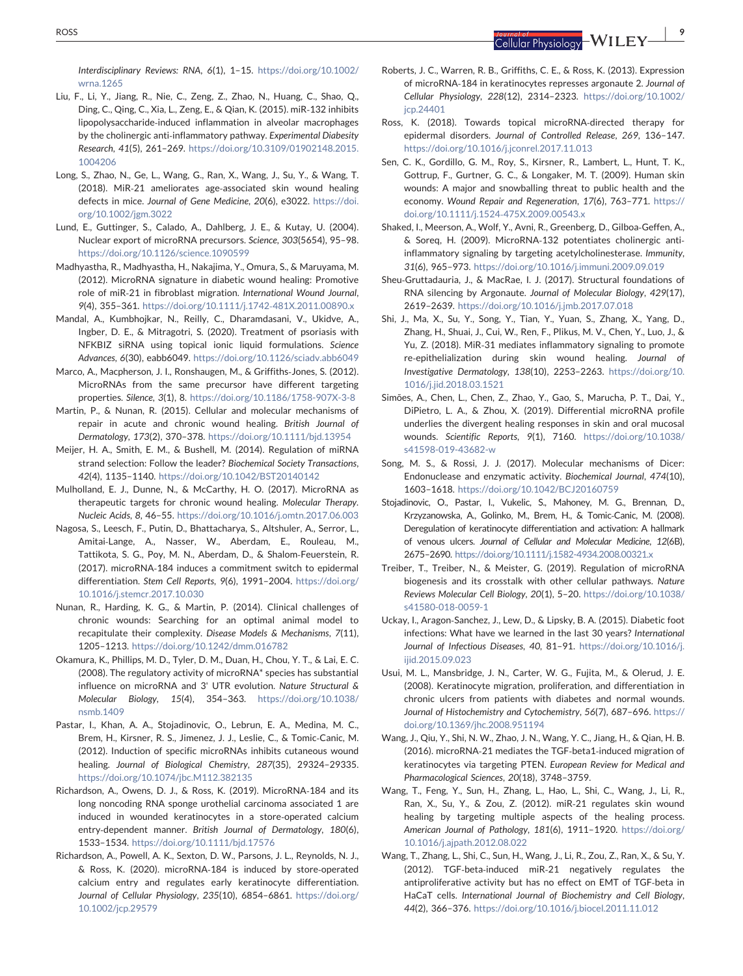Interdisciplinary Reviews: RNA, 6(1), 1–15. [https://doi.org/10.1002/](https://doi.org/10.1002/wrna.1265) [wrna.1265](https://doi.org/10.1002/wrna.1265)

- <span id="page-9-23"></span>Liu, F., Li, Y., Jiang, R., Nie, C., Zeng, Z., Zhao, N., Huang, C., Shao, Q., Ding, C., Qing, C., Xia, L., Zeng, E., & Qian, K. (2015). miR‐132 inhibits lipopolysaccharide‐induced inflammation in alveolar macrophages by the cholinergic anti-inflammatory pathway. Experimental Diabesity Research, 41(5), 261–269. [https://doi.org/10.3109/01902148.2015.](https://doi.org/10.3109/01902148.2015.1004206) [1004206](https://doi.org/10.3109/01902148.2015.1004206)
- <span id="page-9-17"></span>Long, S., Zhao, N., Ge, L., Wang, G., Ran, X., Wang, J., Su, Y., & Wang, T. (2018). MiR‐21 ameliorates age‐associated skin wound healing defects in mice. Journal of Gene Medicine, 20(6), e3022. [https://doi.](https://doi.org/10.1002/jgm.3022) [org/10.1002/jgm.3022](https://doi.org/10.1002/jgm.3022)
- <span id="page-9-5"></span>Lund, E., Guttinger, S., Calado, A., Dahlberg, J. E., & Kutay, U. (2004). Nuclear export of microRNA precursors. Science, 303(5654), 95–98. <https://doi.org/10.1126/science.1090599>
- <span id="page-9-15"></span>Madhyastha, R., Madhyastha, H., Nakajima, Y., Omura, S., & Maruyama, M. (2012). MicroRNA signature in diabetic wound healing: Promotive role of miR‐21 in fibroblast migration. International Wound Journal, 9(4), 355–361. [https://doi.org/10.1111/j.1742](https://doi.org/10.1111/j.1742-481X.2011.00890.x)‐481X.2011.00890.x
- <span id="page-9-28"></span>Mandal, A., Kumbhojkar, N., Reilly, C., Dharamdasani, V., Ukidve, A., Ingber, D. E., & Mitragotri, S. (2020). Treatment of psoriasis with NFKBIZ siRNA using topical ionic liquid formulations. Science Advances, 6(30), eabb6049. <https://doi.org/10.1126/sciadv.abb6049>
- <span id="page-9-9"></span>Marco, A., Macpherson, J. I., Ronshaugen, M., & Griffiths‐Jones, S. (2012). MicroRNAs from the same precursor have different targeting properties. Silence, 3(1), 8. <https://doi.org/10.1186/1758-907X-3-8>
- <span id="page-9-3"></span>Martin, P., & Nunan, R. (2015). Cellular and molecular mechanisms of repair in acute and chronic wound healing. British Journal of Dermatology, 173(2), 370–378. <https://doi.org/10.1111/bjd.13954>
- <span id="page-9-7"></span>Meijer, H. A., Smith, E. M., & Bushell, M. (2014). Regulation of miRNA strand selection: Follow the leader? Biochemical Society Transactions, 42(4), 1135–1140. <https://doi.org/10.1042/BST20140142>
- <span id="page-9-4"></span>Mulholland, E. J., Dunne, N., & McCarthy, H. O. (2017). MicroRNA as therapeutic targets for chronic wound healing. Molecular Therapy. Nucleic Acids, 8, 46–55. <https://doi.org/10.1016/j.omtn.2017.06.003>
- <span id="page-9-22"></span>Nagosa, S., Leesch, F., Putin, D., Bhattacharya, S., Altshuler, A., Serror, L., Amitai-Lange, A., Nasser, W., Aberdam, E., Rouleau, M., Tattikota, S. G., Poy, M. N., Aberdam, D., & Shalom‐Feuerstein, R. (2017). microRNA‐184 induces a commitment switch to epidermal differentiation. Stem Cell Reports, 9(6), 1991–2004. [https://doi.org/](https://doi.org/10.1016/j.stemcr.2017.10.030) [10.1016/j.stemcr.2017.10.030](https://doi.org/10.1016/j.stemcr.2017.10.030)
- <span id="page-9-0"></span>Nunan, R., Harding, K. G., & Martin, P. (2014). Clinical challenges of chronic wounds: Searching for an optimal animal model to recapitulate their complexity. Disease Models & Mechanisms, 7(11), 1205–1213. <https://doi.org/10.1242/dmm.016782>
- <span id="page-9-10"></span>Okamura, K., Phillips, M. D., Tyler, D. M., Duan, H., Chou, Y. T., & Lai, E. C. (2008). The regulatory activity of microRNA\* species has substantial influence on microRNA and 3' UTR evolution. Nature Structural & Molecular Biology, 15(4), 354–363. [https://doi.org/10.1038/](https://doi.org/10.1038/nsmb.1409) [nsmb.1409](https://doi.org/10.1038/nsmb.1409)
- <span id="page-9-16"></span>Pastar, I., Khan, A. A., Stojadinovic, O., Lebrun, E. A., Medina, M. C., Brem, H., Kirsner, R. S., Jimenez, J. J., Leslie, C., & Tomic‐Canic, M. (2012). Induction of specific microRNAs inhibits cutaneous wound healing. Journal of Biological Chemistry, 287(35), 29324–29335. <https://doi.org/10.1074/jbc.M112.382135>
- <span id="page-9-25"></span>Richardson, A., Owens, D. J., & Ross, K. (2019). MicroRNA‐184 and its long noncoding RNA sponge urothelial carcinoma associated 1 are induced in wounded keratinocytes in a store‐operated calcium entry-dependent manner. British Journal of Dermatology, 180(6), 1533–1534. <https://doi.org/10.1111/bjd.17576>
- <span id="page-9-21"></span>Richardson, A., Powell, A. K., Sexton, D. W., Parsons, J. L., Reynolds, N. J., & Ross, K. (2020). microRNA‐184 is induced by store‐operated calcium entry and regulates early keratinocyte differentiation. Journal of Cellular Physiology, 235(10), 6854–6861. [https://doi.org/](https://doi.org/10.1002/jcp.29579) [10.1002/jcp.29579](https://doi.org/10.1002/jcp.29579)
- <span id="page-9-26"></span>Roberts, J. C., Warren, R. B., Griffiths, C. E., & Ross, K. (2013). Expression of microRNA‐184 in keratinocytes represses argonaute 2. Journal of Cellular Physiology, 228(12), 2314–2323. [https://doi.org/10.1002/](https://doi.org/10.1002/jcp.24401) [jcp.24401](https://doi.org/10.1002/jcp.24401)
- <span id="page-9-29"></span>Ross, K. (2018). Towards topical microRNA‐directed therapy for epidermal disorders. Journal of Controlled Release, 269, 136–147. <https://doi.org/10.1016/j.jconrel.2017.11.013>
- <span id="page-9-1"></span>Sen, C. K., Gordillo, G. M., Roy, S., Kirsner, R., Lambert, L., Hunt, T. K., Gottrup, F., Gurtner, G. C., & Longaker, M. T. (2009). Human skin wounds: A major and snowballing threat to public health and the economy. Wound Repair and Regeneration, 17(6), 763–771. [https://](https://doi.org/10.1111/j.1524-475X.2009.00543.x) [doi.org/10.1111/j.1524](https://doi.org/10.1111/j.1524-475X.2009.00543.x)‐475X.2009.00543.x
- <span id="page-9-24"></span>Shaked, I., Meerson, A., Wolf, Y., Avni, R., Greenberg, D., Gilboa‐Geffen, A., & Soreq, H. (2009). MicroRNA‐132 potentiates cholinergic anti‐ inflammatory signaling by targeting acetylcholinesterase. Immunity, 31(6), 965–973. <https://doi.org/10.1016/j.immuni.2009.09.019>
- <span id="page-9-8"></span>Sheu-Gruttadauria, J., & MacRae, I. J. (2017). Structural foundations of RNA silencing by Argonaute. Journal of Molecular Biology, 429(17), 2619–2639. <https://doi.org/10.1016/j.jmb.2017.07.018>
- <span id="page-9-20"></span>Shi, J., Ma, X., Su, Y., Song, Y., Tian, Y., Yuan, S., Zhang, X., Yang, D., Zhang, H., Shuai, J., Cui, W., Ren, F., Plikus, M. V., Chen, Y., Luo, J., & Yu, Z. (2018). MiR‐31 mediates inflammatory signaling to promote re‐epithelialization during skin wound healing. Journal of Investigative Dermatology, 138(10), 2253–2263. [https://doi.org/10.](https://doi.org/10.1016/j.jid.2018.03.1521) [1016/j.jid.2018.03.1521](https://doi.org/10.1016/j.jid.2018.03.1521)
- <span id="page-9-14"></span>Simões, A., Chen, L., Chen, Z., Zhao, Y., Gao, S., Marucha, P. T., Dai, Y., DiPietro, L. A., & Zhou, X. (2019). Differential microRNA profile underlies the divergent healing responses in skin and oral mucosal wounds. Scientific Reports, 9(1), 7160. [https://doi.org/10.1038/](https://doi.org/10.1038/s41598-019-43682-w) [s41598-019-43682-w](https://doi.org/10.1038/s41598-019-43682-w)
- <span id="page-9-6"></span>Song, M. S., & Rossi, J. J. (2017). Molecular mechanisms of Dicer: Endonuclease and enzymatic activity. Biochemical Journal, 474(10), 1603–1618. <https://doi.org/10.1042/BCJ20160759>
- <span id="page-9-27"></span>Stojadinovic, O., Pastar, I., Vukelic, S., Mahoney, M. G., Brennan, D., Krzyzanowska, A., Golinko, M., Brem, H., & Tomic‐Canic, M. (2008). Deregulation of keratinocyte differentiation and activation: A hallmark of venous ulcers. Journal of Cellular and Molecular Medicine, 12(6B), 2675–2690. <https://doi.org/10.1111/j.1582-4934.2008.00321.x>
- <span id="page-9-11"></span>Treiber, T., Treiber, N., & Meister, G. (2019). Regulation of microRNA biogenesis and its crosstalk with other cellular pathways. Nature Reviews Molecular Cell Biology, 20(1), 5–20. [https://doi.org/10.1038/](https://doi.org/10.1038/s41580-018-0059-1) [s41580-018-0059-1](https://doi.org/10.1038/s41580-018-0059-1)
- <span id="page-9-2"></span>Uckay, I., Aragon‐Sanchez, J., Lew, D., & Lipsky, B. A. (2015). Diabetic foot infections: What have we learned in the last 30 years? International Journal of Infectious Diseases, 40, 81–91. [https://doi.org/10.1016/j.](https://doi.org/10.1016/j.ijid.2015.09.023) [ijid.2015.09.023](https://doi.org/10.1016/j.ijid.2015.09.023)
- <span id="page-9-12"></span>Usui, M. L., Mansbridge, J. N., Carter, W. G., Fujita, M., & Olerud, J. E. (2008). Keratinocyte migration, proliferation, and differentiation in chronic ulcers from patients with diabetes and normal wounds. Journal of Histochemistry and Cytochemistry, 56(7), 687–696. [https://](https://doi.org/10.1369/jhc.2008.951194) [doi.org/10.1369/jhc.2008.951194](https://doi.org/10.1369/jhc.2008.951194)
- <span id="page-9-18"></span>Wang, J., Qiu, Y., Shi, N. W., Zhao, J. N., Wang, Y. C., Jiang, H., & Qian, H. B. (2016). microRNA‐21 mediates the TGF‐beta1‐induced migration of keratinocytes via targeting PTEN. European Review for Medical and Pharmacological Sciences, 20(18), 3748–3759.
- <span id="page-9-13"></span>Wang, T., Feng, Y., Sun, H., Zhang, L., Hao, L., Shi, C., Wang, J., Li, R., Ran, X., Su, Y., & Zou, Z. (2012). miR‐21 regulates skin wound healing by targeting multiple aspects of the healing process. American Journal of Pathology, 181(6), 1911–1920. [https://doi.org/](https://doi.org/10.1016/j.ajpath.2012.08.022) [10.1016/j.ajpath.2012.08.022](https://doi.org/10.1016/j.ajpath.2012.08.022)
- <span id="page-9-19"></span>Wang, T., Zhang, L., Shi, C., Sun, H., Wang, J., Li, R., Zou, Z., Ran, X., & Su, Y. (2012). TGF‐beta‐induced miR‐21 negatively regulates the antiproliferative activity but has no effect on EMT of TGF‐beta in HaCaT cells. International Journal of Biochemistry and Cell Biology, 44(2), 366–376. <https://doi.org/10.1016/j.biocel.2011.11.012>